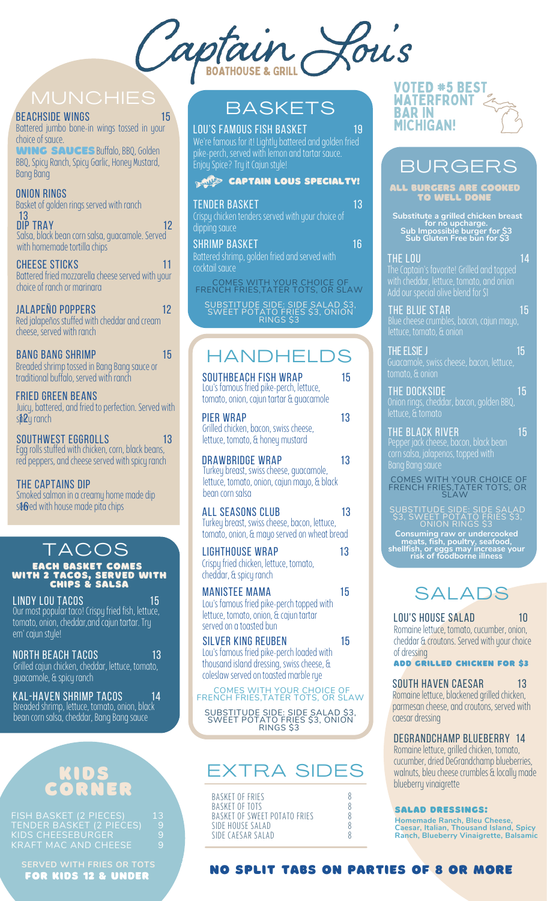Louis aptain

#### BEACHSIDE WINGS 15

Battered jumbo bone-in wings tossed in your choice of sauce.

WING SAUCES Buffalo, BBQ, Golden BBQ, Spicy Ranch, Spicy Garlic, Honey Mustard, **Bang** Bang

#### onion rings

Basket of golden rings served with ranch

Salsa, black bean corn salsa, guacamole. Served with homemade tortilla chips 13<br>DIP TRAY  $DIP TRAY$  12

Battered fried mozzarella cheese served with your choice of ranch or marinara cheese sticks 11

Red jalapeños stuffed with cheddar and cream cheese, served with ranch jalapeño poppers 12

Breaded shrimp tossed in Bang Bang sauce or traditional buffalo, served with ranch bang bang shrimp 15

Juicy, battered, and fried to perfection. Served with s**p2**y ranch fried green beans

Egg rolls stuffed with chicken, corn, black beans, red peppers, and cheese served with spicy ranch southwest eggrolls 500 13

THE CAPTAINS DIP s $\Phi$ ed with house made pita chips Smoked salmon in a creamy home made dip

#### TACOS EACH BASKET COMES WITH 2 TACOS, SERVED WITH CHIPS & SALSA

LINDY LOU TACOS **15 Linux 15** Our most popular taco! Crispy fried fish, lettuce, tomato, onion, cheddar, and cajun tartar. Try em' cajun style!

| <b>NORTH BEACH TACOS</b>                         | 13' |
|--------------------------------------------------|-----|
| Grilled cajun chicken, cheddar, lettuce, tomato, |     |
| quacamole, & spicy ranch                         |     |

#### kal-haven shrimp tacos 14 Breaded shrimp, lettuce, tomato, onion, black bean corn salsa, cheddar, Bang Bang sauce

## KIDS CORNER

| FISH BASKET (2 PIECES)   | I13. |
|--------------------------|------|
| TENDER BASKET (2 PIECES) | 9    |
| KIDS CHEESEBURGER        | q    |
| KRAFT MAC AND CHEESE     | 9.   |

FOR KIDS 12 & UNDER **SERVED WITH FRIES OR TOTS**

## **BASKETS**

#### We're famous for it! Lightly battered and golden fried LOU'S FAMOUS FISH BASKET 19

pike-perch, served with lemon and tartar sauce. .<br>Enjoy Spice? Try it Cajun style! **CAPTAIN LOUS SPECIALTY!** 

| <b>TENDER BASKET</b><br>Crispy chicken tenders served with your choice of<br>dipping sauce | 13 |
|--------------------------------------------------------------------------------------------|----|
| <b>SHRIMP BASKET</b><br>Battered shrimp, golden fried and served with<br>cocktail sauce    | 16 |
| COMEC WITH VOLID CHOICE OF                                                                 |    |

COMES WITH YOUR CHOICE OF FRENCH FRIES,TATER TOTS, OR SLAW

SUBSTITUDE SIDE: SIDE SALAD \$3, SWEET POTATO FRIES \$3, ONION RINGS \$3

## **HANDHELD**

|                  | <b>SOUTHBEACH FISH WRAP</b><br>Lou's famous fried pike-perch, lettuce,<br>tomato, onion, cajun tartar & quacamole      | 15 |
|------------------|------------------------------------------------------------------------------------------------------------------------|----|
| <b>PIER WRAP</b> | Grilled chicken, bacon, swiss cheese,<br>lettuce, tomato, & honey mustard                                              | 13 |
| bean corn salsa  | DRAWBRIDGE WRAP<br>Turkey breast, swiss cheese, quacamole,<br>lettuce, tomato, onion, cajun mayo, & black              | 13 |
|                  | <b>ALL SEASONS CLUB</b><br>Turkey breast, swiss cheese, bacon, lettuce,<br>tomato, onion, & mayo served on wheat bread | 13 |
|                  | <b>LIGHTHOUSE WRAP</b><br>Crispy fried chicken, lettuce, tomato,<br>cheddar, & spicy ranch                             | 13 |
|                  | <b>MANISTEE MAMA</b><br>Lou's famous fried pike-perch topped with<br>lattuse tamata spian Greeting tautau              | 15 |

lettuce, tomato, onion, & cajun tartar served on a toasted bun

silver king reuben 15 Lou's famous fried pike-perch loaded with thousand island dressing, swiss cheese, & coleslaw served on toasted marble rue

COMES WITH YOUR CHOICE OF FRENCH FRIES,TATER TOTS, OR SLAW

SUBSTITUDE SIDE: SIDE SALAD \$3, SWEET POTATO FRIES \$3, ONION RINGS \$3

## EXTRA SIDES

| BASKET OF FRIES<br>BASKET OF TOTS<br>BASKET OF SWEET POTATO FRIES |  |
|-------------------------------------------------------------------|--|
| SIDE HOUSE SALAD<br>SIDE CAESAR SALAD                             |  |

#### VOTED #5 BEST WATERFRONT BAR IN MICHIGAN!

## **BURGERS**

ALL BURGERS ARE COOKED TO WELL DONE

**Substitute a grilled chicken breast for no upcharge. Sub Impossible burger for \$3 Sub Gluten Free bun for \$3**

THE LOU And the low that the low the low that the low the low the low the low that  $14$ The Captain's favorite! Grilled and toppedwith cheddar, lettuce, tomato, and onion Add our special olive blend for \$1

THE BLUE STAR 15 lettuce, tomato, & onion

The elsie J $\sim$  15  $\sim$ Guacamole, swiss cheese,bacon, lettuce,

the dockside 15 Onion rings, cheddar, bacon, golden BBQ, lettuce, & tomato

THE BLACK RIVER IN THE 15 Pepper jack cheese, bacon, black bean corn salsa, jalapenos, topped with Bang Bang sauce

COMES WITH YOUR CHOICE OF FRENCH FRIES,TATER TOTS, OR SLAW

**Consuming raw or undercooked meats, fish, poultry, seafood, shellfish, or eggs may increase your risk of foodborne illness** SUBSTITUDE SIDE: SIDE SALAD \$3, SWEET POTATO FRIES \$3, ONION RINGS \$3

## SALADS

LOU'S HOUSE SALAD 10 Romaine lettuce, tomato, cucumber, onion, cheddar & croutons. Served with your choice of dressing

### Add grilled chicken for \$3

SOUTH HAVEN CAESAR 13 Romaine lettuce, blackened grilled chicken, parmesan cheese, and croutons, served with caesar dressing

## Degrandchamp blueberRY 14

Romaine lettuce, grilled chicken, tomato, cucumber, dried DeGrandchamp blueberries, walnuts, bleu cheese crumbles & locally made blueberry vinaigrette

#### SALAD dRESSINGS:

**Homemade Ranch, Bleu Cheese, Caesar, Italian, Thousand Island, Spicy Ranch, Blueberry Vinaigrette, Balsamic**

#### NO SPLIT TABS ON PARTIES OF 8 OR MORE